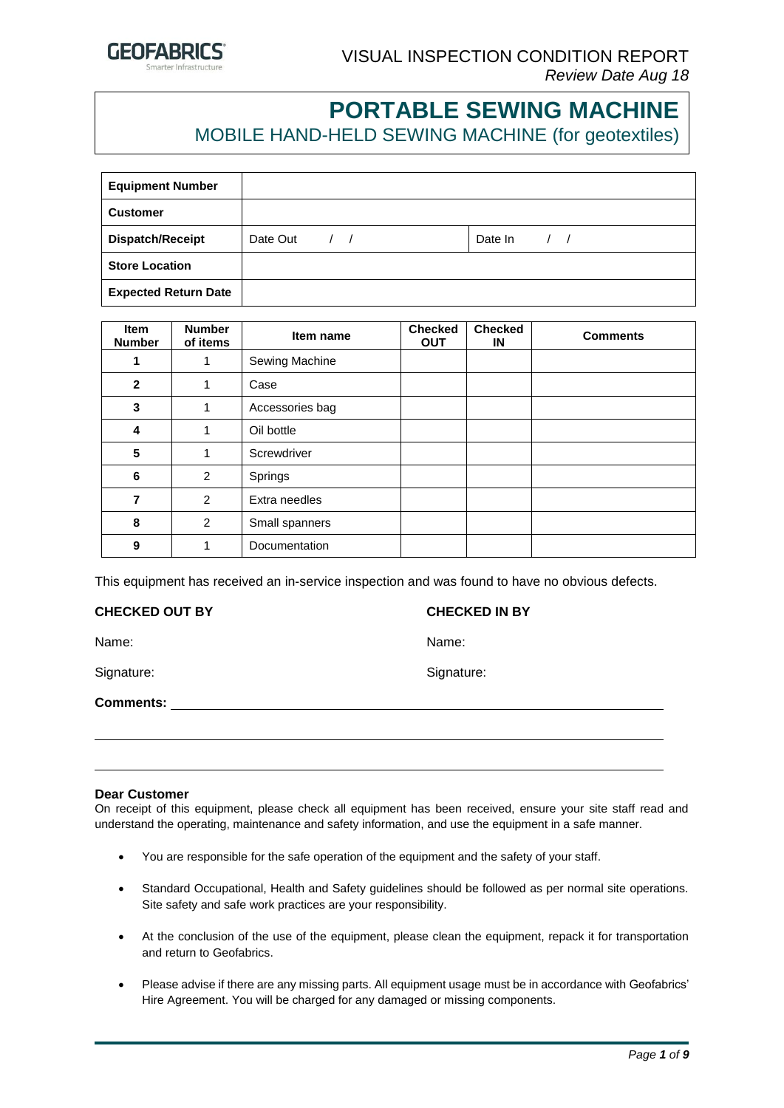

# **PORTABLE SEWING MACHINE**

MOBILE HAND-HELD SEWING MACHINE (for geotextiles)

| <b>Equipment Number</b>     |                              |         |
|-----------------------------|------------------------------|---------|
| <b>Customer</b>             |                              |         |
| <b>Dispatch/Receipt</b>     | Date Out<br>$\left  \right $ | Date In |
| <b>Store Location</b>       |                              |         |
| <b>Expected Return Date</b> |                              |         |

| <b>Item</b><br><b>Number</b> | <b>Number</b><br>of items | Item name       | <b>Checked</b><br><b>OUT</b> | <b>Checked</b><br>IN | <b>Comments</b> |
|------------------------------|---------------------------|-----------------|------------------------------|----------------------|-----------------|
| 1                            | 1                         | Sewing Machine  |                              |                      |                 |
| $\overline{2}$               | 1                         | Case            |                              |                      |                 |
| $\mathbf{3}$                 | 1                         | Accessories bag |                              |                      |                 |
| 4                            | 1                         | Oil bottle      |                              |                      |                 |
| 5                            | 1                         | Screwdriver     |                              |                      |                 |
| 6                            | 2                         | Springs         |                              |                      |                 |
| $\overline{7}$               | 2                         | Extra needles   |                              |                      |                 |
| 8                            | 2                         | Small spanners  |                              |                      |                 |
| 9                            | 1                         | Documentation   |                              |                      |                 |

This equipment has received an in-service inspection and was found to have no obvious defects.

#### **CHECKED OUT BY CHECKED IN BY**

Name: Name:

Signature: Signature: Signature: Signature: Signature: Signature: Signature: Signature: Signature: Signature: Signature: Signature: Signature: Signature: Signature: Signature: Signature: Signature: Signature: Signature: Si

**Comments:** 

#### **Dear Customer**

On receipt of this equipment, please check all equipment has been received, ensure your site staff read and understand the operating, maintenance and safety information, and use the equipment in a safe manner.

- You are responsible for the safe operation of the equipment and the safety of your staff.
- Standard Occupational, Health and Safety guidelines should be followed as per normal site operations. Site safety and safe work practices are your responsibility.
- At the conclusion of the use of the equipment, please clean the equipment, repack it for transportation and return to Geofabrics.
- Please advise if there are any missing parts. All equipment usage must be in accordance with Geofabrics' Hire Agreement. You will be charged for any damaged or missing components.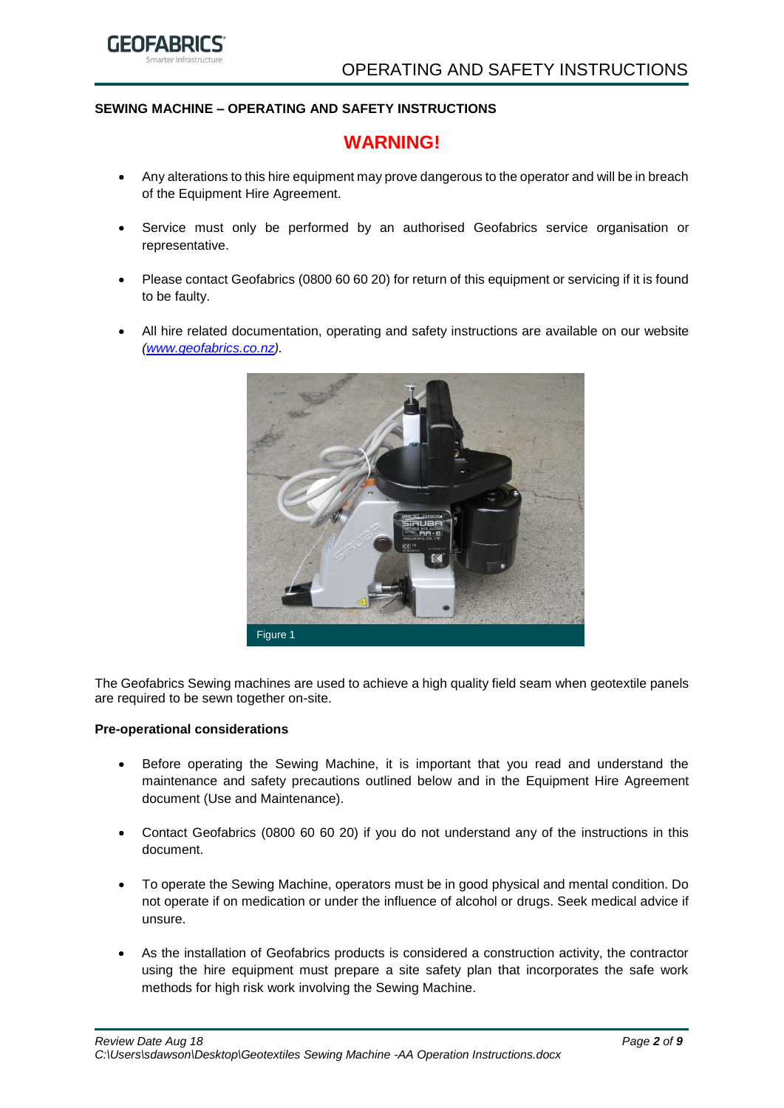

# **SEWING MACHINE – OPERATING AND SAFETY INSTRUCTIONS**

# **WARNING!**

- Any alterations to this hire equipment may prove dangerous to the operator and will be in breach of the Equipment Hire Agreement.
- Service must only be performed by an authorised Geofabrics service organisation or representative.
- Please contact Geofabrics (0800 60 60 20) for return of this equipment or servicing if it is found to be faulty.
- All hire related documentation, operating and safety instructions are available on our website *[\(www.geofabrics.co.nz\)](http://www.geofabrics.co.nz/).*



The Geofabrics Sewing machines are used to achieve a high quality field seam when geotextile panels are required to be sewn together on-site.

#### **Pre-operational considerations**

- Before operating the Sewing Machine, it is important that you read and understand the maintenance and safety precautions outlined below and in the Equipment Hire Agreement document (Use and Maintenance).
- Contact Geofabrics (0800 60 60 20) if you do not understand any of the instructions in this document.
- To operate the Sewing Machine, operators must be in good physical and mental condition. Do not operate if on medication or under the influence of alcohol or drugs. Seek medical advice if unsure.
- As the installation of Geofabrics products is considered a construction activity, the contractor using the hire equipment must prepare a site safety plan that incorporates the safe work methods for high risk work involving the Sewing Machine.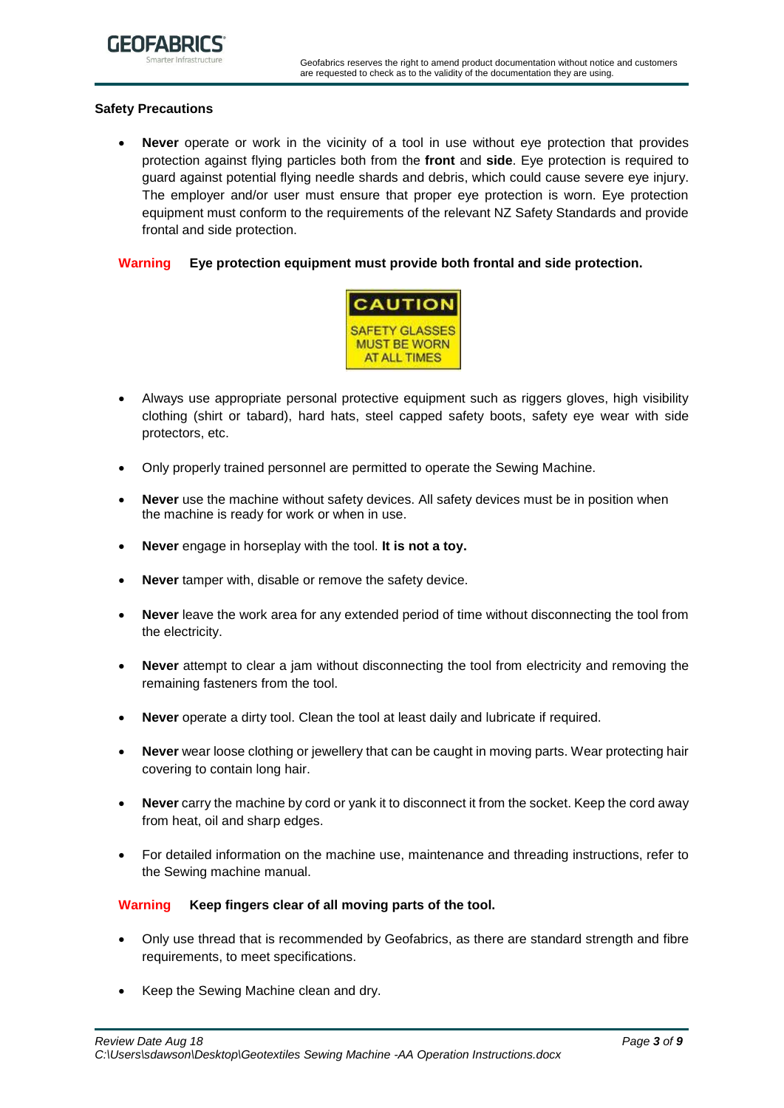# **Safety Precautions**

• **Never** operate or work in the vicinity of a tool in use without eye protection that provides protection against flying particles both from the **front** and **side**. Eye protection is required to guard against potential flying needle shards and debris, which could cause severe eye injury. The employer and/or user must ensure that proper eye protection is worn. Eye protection equipment must conform to the requirements of the relevant NZ Safety Standards and provide frontal and side protection.

#### **Warning Eye protection equipment must provide both frontal and side protection.**



- Always use appropriate personal protective equipment such as riggers gloves, high visibility clothing (shirt or tabard), hard hats, steel capped safety boots, safety eye wear with side protectors, etc.
- Only properly trained personnel are permitted to operate the Sewing Machine.
- **Never** use the machine without safety devices. All safety devices must be in position when the machine is ready for work or when in use.
- **Never** engage in horseplay with the tool. **It is not a toy.**
- **Never** tamper with, disable or remove the safety device.
- **Never** leave the work area for any extended period of time without disconnecting the tool from the electricity.
- **Never** attempt to clear a jam without disconnecting the tool from electricity and removing the remaining fasteners from the tool.
- **Never** operate a dirty tool. Clean the tool at least daily and lubricate if required.
- **Never** wear loose clothing or jewellery that can be caught in moving parts. Wear protecting hair covering to contain long hair.
- **Never** carry the machine by cord or yank it to disconnect it from the socket. Keep the cord away from heat, oil and sharp edges.
- For detailed information on the machine use, maintenance and threading instructions, refer to the Sewing machine manual.

#### **Warning Keep fingers clear of all moving parts of the tool.**

- Only use thread that is recommended by Geofabrics, as there are standard strength and fibre requirements, to meet specifications.
- Keep the Sewing Machine clean and dry.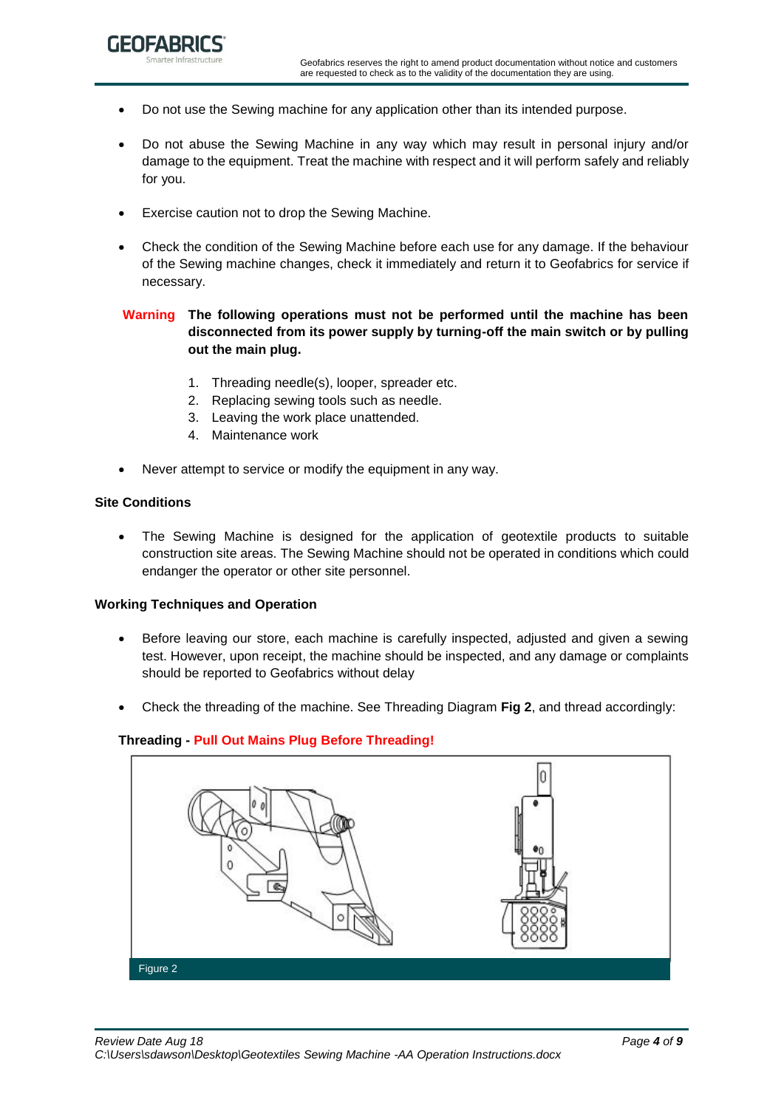- Do not use the Sewing machine for any application other than its intended purpose.
- Do not abuse the Sewing Machine in any way which may result in personal injury and/or damage to the equipment. Treat the machine with respect and it will perform safely and reliably for you.
- Exercise caution not to drop the Sewing Machine.
- Check the condition of the Sewing Machine before each use for any damage. If the behaviour of the Sewing machine changes, check it immediately and return it to Geofabrics for service if necessary.

# **Warning The following operations must not be performed until the machine has been disconnected from its power supply by turning-off the main switch or by pulling out the main plug.**

- 1. Threading needle(s), looper, spreader etc.
- 2. Replacing sewing tools such as needle.
- 3. Leaving the work place unattended.
- 4. Maintenance work
- Never attempt to service or modify the equipment in any way.

#### **Site Conditions**

The Sewing Machine is designed for the application of geotextile products to suitable construction site areas. The Sewing Machine should not be operated in conditions which could endanger the operator or other site personnel.

#### **Working Techniques and Operation**

- Before leaving our store, each machine is carefully inspected, adjusted and given a sewing test. However, upon receipt, the machine should be inspected, and any damage or complaints should be reported to Geofabrics without delay
- Check the threading of the machine. See Threading Diagram **Fig 2**, and thread accordingly:

# **Threading - Pull Out Mains Plug Before Threading!**

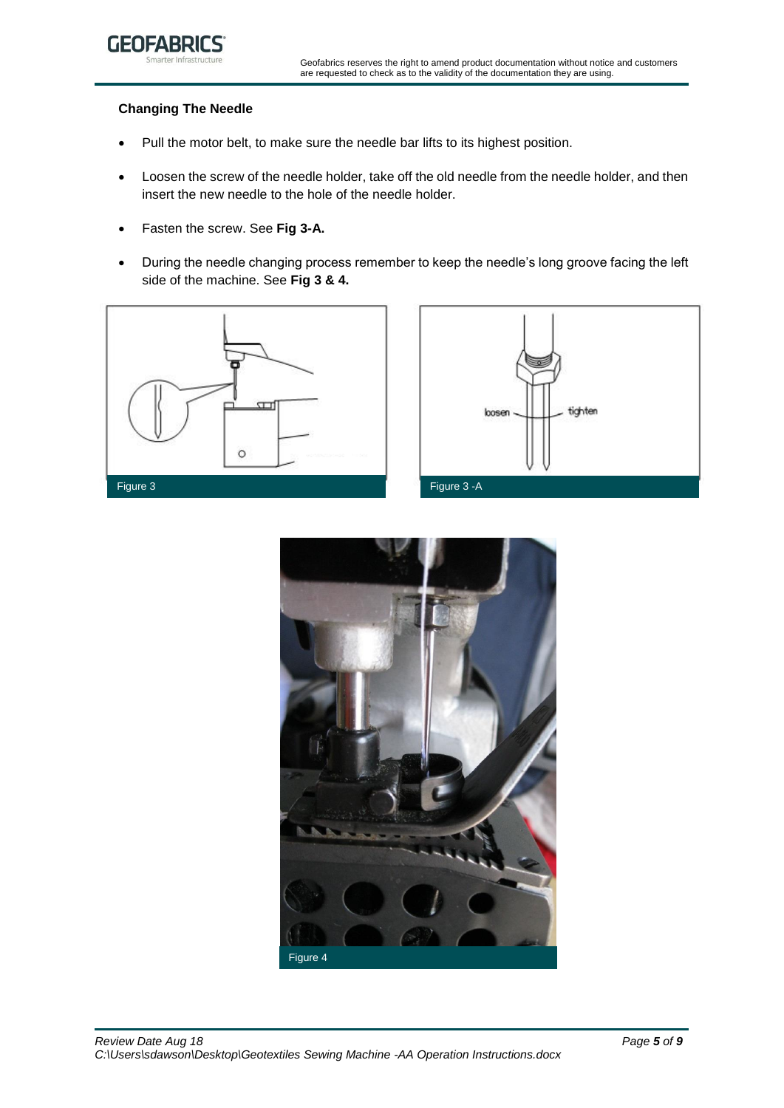

# **Changing The Needle**

- Pull the motor belt, to make sure the needle bar lifts to its highest position.
- Loosen the screw of the needle holder, take off the old needle from the needle holder, and then insert the new needle to the hole of the needle holder.
- Fasten the screw. See **Fig 3-A.**
- During the needle changing process remember to keep the needle's long groove facing the left side of the machine. See **Fig 3 & 4.**





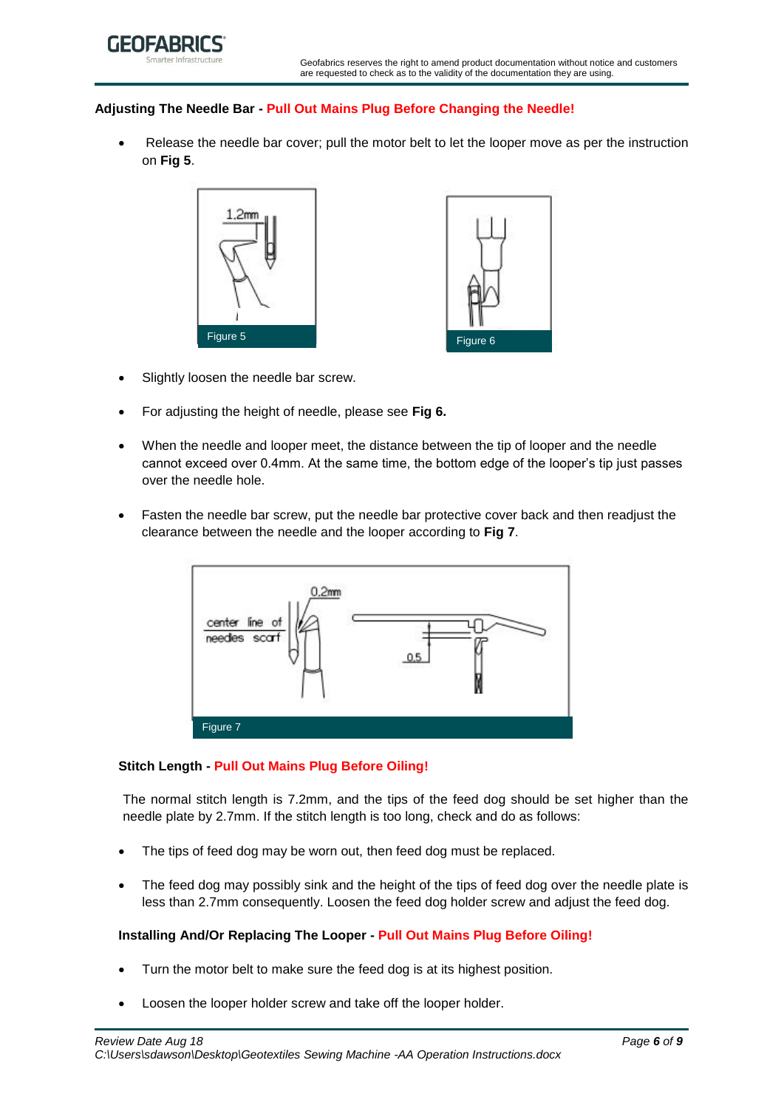

## **Adjusting The Needle Bar - Pull Out Mains Plug Before Changing the Needle!**

• Release the needle bar cover; pull the motor belt to let the looper move as per the instruction on **Fig 5**.



- Slightly loosen the needle bar screw.
- For adjusting the height of needle, please see **Fig 6.**
- When the needle and looper meet, the distance between the tip of looper and the needle cannot exceed over 0.4mm. At the same time, the bottom edge of the looper's tip just passes over the needle hole.
- Fasten the needle bar screw, put the needle bar protective cover back and then readjust the clearance between the needle and the looper according to **Fig 7**.



## **Stitch Length - Pull Out Mains Plug Before Oiling!**

The normal stitch length is 7.2mm, and the tips of the feed dog should be set higher than the needle plate by 2.7mm. If the stitch length is too long, check and do as follows:

- The tips of feed dog may be worn out, then feed dog must be replaced.
- The feed dog may possibly sink and the height of the tips of feed dog over the needle plate is less than 2.7mm consequently. Loosen the feed dog holder screw and adjust the feed dog.

# **Installing And/Or Replacing The Looper - Pull Out Mains Plug Before Oiling!**

- Turn the motor belt to make sure the feed dog is at its highest position.
- Loosen the looper holder screw and take off the looper holder.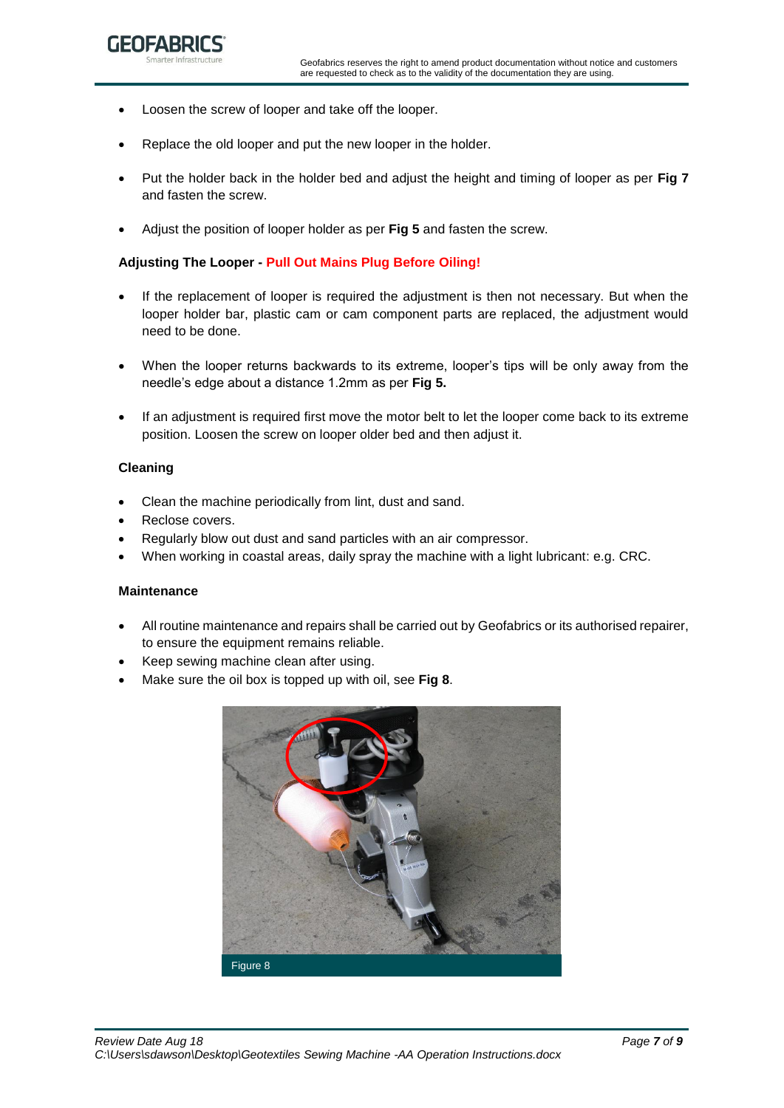- Loosen the screw of looper and take off the looper.
- Replace the old looper and put the new looper in the holder.
- Put the holder back in the holder bed and adjust the height and timing of looper as per **Fig 7** and fasten the screw.
- Adjust the position of looper holder as per **Fig 5** and fasten the screw.

# **Adjusting The Looper - Pull Out Mains Plug Before Oiling!**

- If the replacement of looper is required the adjustment is then not necessary. But when the looper holder bar, plastic cam or cam component parts are replaced, the adjustment would need to be done.
- When the looper returns backwards to its extreme, looper's tips will be only away from the needle's edge about a distance 1.2mm as per **Fig 5.**
- If an adjustment is required first move the motor belt to let the looper come back to its extreme position. Loosen the screw on looper older bed and then adjust it.

# **Cleaning**

- Clean the machine periodically from lint, dust and sand.
- Reclose covers.
- Regularly blow out dust and sand particles with an air compressor.
- When working in coastal areas, daily spray the machine with a light lubricant: e.g. CRC.

## **Maintenance**

- All routine maintenance and repairs shall be carried out by Geofabrics or its authorised repairer, to ensure the equipment remains reliable.
- Keep sewing machine clean after using.
- Make sure the oil box is topped up with oil, see **Fig 8**.

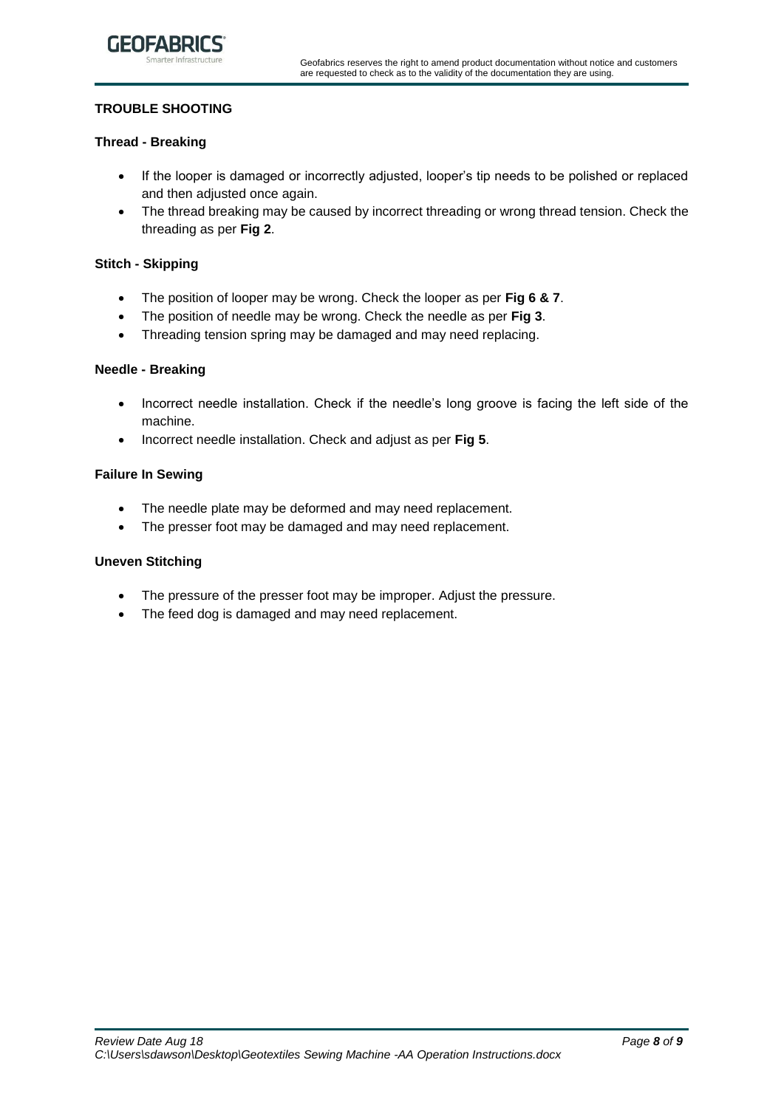

# **TROUBLE SHOOTING**

# **Thread - Breaking**

- If the looper is damaged or incorrectly adjusted, looper's tip needs to be polished or replaced and then adjusted once again.
- The thread breaking may be caused by incorrect threading or wrong thread tension. Check the threading as per **Fig 2**.

#### **Stitch - Skipping**

- The position of looper may be wrong. Check the looper as per **Fig 6 & 7**.
- The position of needle may be wrong. Check the needle as per **Fig 3**.
- Threading tension spring may be damaged and may need replacing.

#### **Needle - Breaking**

- Incorrect needle installation. Check if the needle's long groove is facing the left side of the machine.
- Incorrect needle installation. Check and adjust as per **Fig 5**.

# **Failure In Sewing**

- The needle plate may be deformed and may need replacement.
- The presser foot may be damaged and may need replacement.

#### **Uneven Stitching**

- The pressure of the presser foot may be improper. Adjust the pressure.
- The feed dog is damaged and may need replacement.